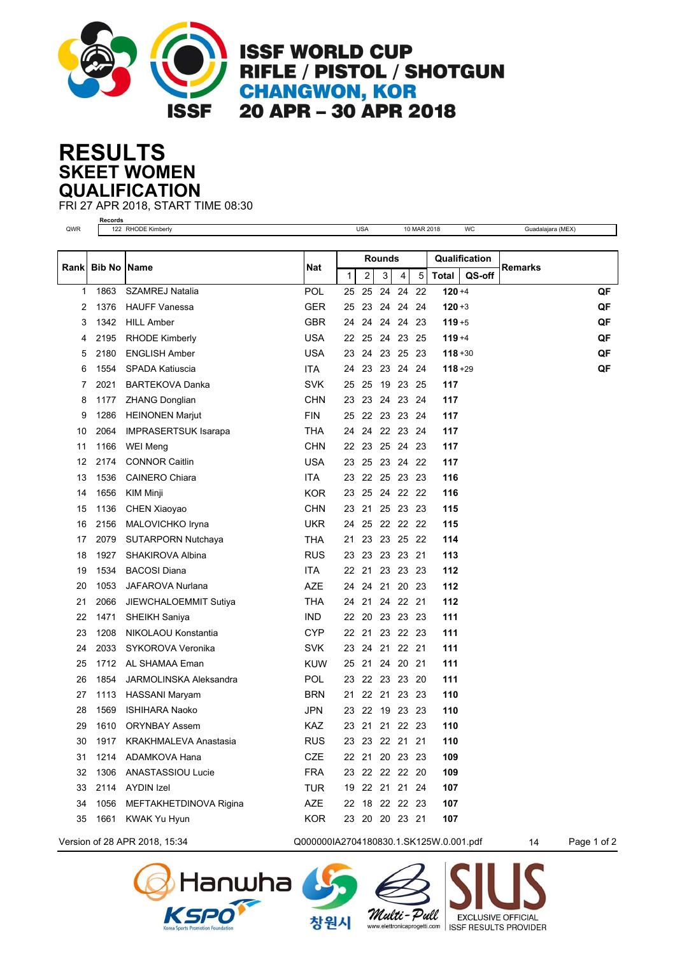

**ISSF WORLD CUP** RIFLE / PISTOL / SHOTGUN **CHANGWON, KOR** 20 APR - 30 APR 2018

## **SKEET WOMEN RESULTS QUALIFICATION**

FRI 27 APR 2018, START TIME 08:30

|       | <b>Records</b>       | 10 MAR 2018                   |            |              |               |                |          |      |               |        |                   |    |  |
|-------|----------------------|-------------------------------|------------|--------------|---------------|----------------|----------|------|---------------|--------|-------------------|----|--|
| QWR   |                      | 122 RHODE Kimberly            |            |              | <b>USA</b>    |                |          |      |               | WC     | Guadalajara (MEX) |    |  |
|       |                      |                               |            |              | <b>Rounds</b> |                |          |      | Qualification |        |                   |    |  |
| Rankl | <b>Bib No   Name</b> |                               | Nat        | $\mathbf{1}$ | 2             | 3              | 4        | 5    | Total         | QS-off | <b>Remarks</b>    |    |  |
| 1     | 1863                 | <b>SZAMREJ Natalia</b>        | POL        | 25           | 25            | 24             | 24       | 22   | $120 + 4$     |        |                   | QF |  |
| 2     | 1376                 | <b>HAUFF Vanessa</b>          | <b>GER</b> | 25           | 23            | 24             | 24       | 24   | $120 + 3$     |        |                   | QF |  |
| 3     | 1342                 | <b>HILL Amber</b>             | <b>GBR</b> | 24           | 24            | 24             | 24       | 23   | $119 + 5$     |        |                   | QF |  |
| 4     | 2195                 | <b>RHODE Kimberly</b>         | <b>USA</b> | 22           | 25            | 24             | 23       | 25   | $119 + 4$     |        |                   | QF |  |
| 5     | 2180                 | <b>ENGLISH Amber</b>          | <b>USA</b> | 23           | 24            |                | 23 25 23 |      | $118 + 30$    |        |                   | QF |  |
| 6     | 1554                 | SPADA Katiuscia               | <b>ITA</b> | 24           | 23            | 23             | 24       | 24   | $118 + 29$    |        |                   | QF |  |
| 7     | 2021                 | <b>BARTEKOVA Danka</b>        | <b>SVK</b> | 25           | 25            | 19             | 23       | 25   | 117           |        |                   |    |  |
| 8     | 1177                 | <b>ZHANG Donglian</b>         | <b>CHN</b> | 23           | 23            | 24             | 23 24    |      | 117           |        |                   |    |  |
| 9     | 1286                 | <b>HEINONEN Marjut</b>        | <b>FIN</b> | 25           | 22            | 23             | 23 24    |      | 117           |        |                   |    |  |
| 10    | 2064                 | <b>IMPRASERTSUK Isarapa</b>   | <b>THA</b> | 24           | 24            | 22 23          |          | 24   | 117           |        |                   |    |  |
| 11    | 1166                 | WEI Meng                      | <b>CHN</b> | 22           | 23            | 25 24          |          | 23   | 117           |        |                   |    |  |
| 12    | 2174                 | <b>CONNOR Caitlin</b>         | <b>USA</b> | 23           | 25            | 23 24 22       |          |      | 117           |        |                   |    |  |
| 13    | 1536                 | <b>CAINERO Chiara</b>         | <b>ITA</b> | 23           | 22            |                | 25 23    | 23   | 116           |        |                   |    |  |
| 14    | 1656                 | KIM Minji                     | KOR        | 23           | 25            |                | 24 22 22 |      | 116           |        |                   |    |  |
| 15    | 1136                 | CHEN Xiaoyao                  | <b>CHN</b> | 23           | 21            |                | 25 23 23 |      | 115           |        |                   |    |  |
| 16    | 2156                 | MALOVICHKO Iryna              | <b>UKR</b> | 24           | 25            |                | 22 22 22 |      | 115           |        |                   |    |  |
| 17    | 2079                 | <b>SUTARPORN Nutchaya</b>     | THA        | 21           | 23            | 23             | 25       | 22   | 114           |        |                   |    |  |
| 18    | 1927                 | SHAKIROVA Albina              | <b>RUS</b> | 23           | 23            | 23             | 23       | 21   | 113           |        |                   |    |  |
| 19    | 1534                 | <b>BACOSI Diana</b>           | <b>ITA</b> | 22           | 21            |                | 23 23    | -23  | 112           |        |                   |    |  |
| 20    | 1053                 | JAFAROVA Nurlana              | <b>AZE</b> | 24           | 24            | 21             | 20       | 23   | 112           |        |                   |    |  |
| 21    | 2066                 | JIEWCHALOEMMIT Sutiya         | <b>THA</b> | 24           | 21            | 24             | -22      | 21   | 112           |        |                   |    |  |
| 22    | 1471                 | SHEIKH Saniya                 | <b>IND</b> | 22           | 20            |                | 23 23 23 |      | 111           |        |                   |    |  |
| 23    | 1208                 | NIKOLAOU Konstantia           | <b>CYP</b> | 22           | 21            |                | 23 22 23 |      | 111           |        |                   |    |  |
| 24    | 2033                 | SYKOROVA Veronika             | <b>SVK</b> | 23           | 24            | 21             | 22       | -21  | 111           |        |                   |    |  |
| 25    | 1712                 | AL SHAMAA Eman                | <b>KUW</b> | 25           | 21            | 24             | 20       | 21   | 111           |        |                   |    |  |
| 26    | 1854                 | <b>JARMOLINSKA Aleksandra</b> | POL        | 23           |               | 22 23 23       |          | - 20 | 111           |        |                   |    |  |
| 27    | 1113                 | <b>HASSANI Maryam</b>         | <b>BRN</b> | 21           | 22            | 21             | 23       | 23   | 110           |        |                   |    |  |
| 28    | 1569                 | <b>ISHIHARA Naoko</b>         | <b>JPN</b> | 23           |               | 22 19 23 23    |          |      | 110           |        |                   |    |  |
| 29    | 1610                 | <b>ORYNBAY Assem</b>          | KAZ        |              |               | 23 21 21 22 23 |          |      | 110           |        |                   |    |  |
| 30    | 1917                 | KRAKHMALEVA Anastasia         | <b>RUS</b> |              |               | 23 23 22 21 21 |          |      | 110           |        |                   |    |  |
| 31    | 1214                 | ADAMKOVA Hana                 | <b>CZE</b> |              |               | 22 21 20 23 23 |          |      | 109           |        |                   |    |  |
| 32    | 1306                 | ANASTASSIOU Lucie             | <b>FRA</b> |              |               | 23 22 22 22 20 |          |      | 109           |        |                   |    |  |
| 33    | 2114                 | <b>AYDIN Izel</b>             | <b>TUR</b> |              |               | 19 22 21 21 24 |          |      | 107           |        |                   |    |  |
| 34    | 1056                 | MEFTAKHETDINOVA Rigina        | AZE        |              |               | 22 18 22 22 23 |          |      | 107           |        |                   |    |  |
| 35    | 1661                 | KWAK Yu Hyun                  | <b>KOR</b> |              |               | 23 20 20 23 21 |          |      | 107           |        |                   |    |  |



**danwha** 

창원시

Multi-Pull

**EXCLUSIVE OFFICIAL** 

www.elettronicaprogetti.com | ISSF RESULTS PROVIDER